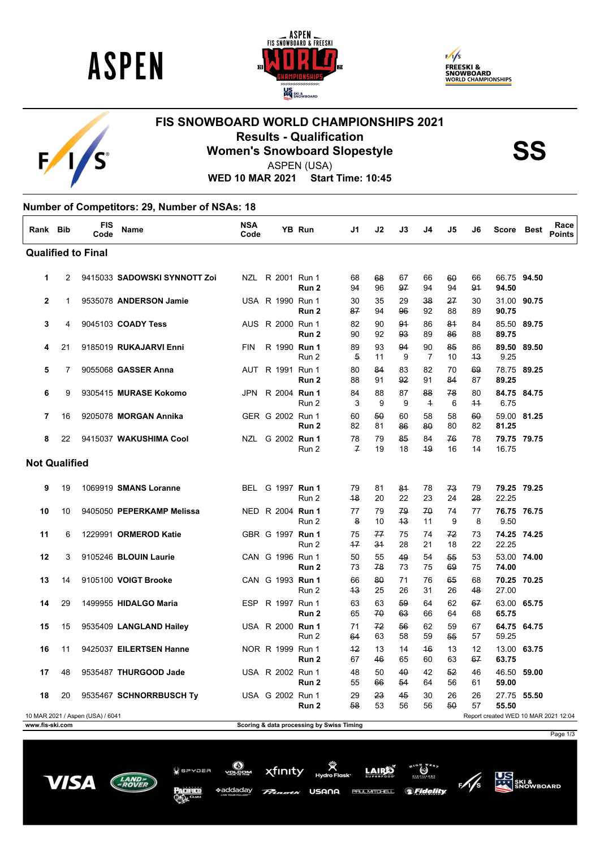

 $F/I/S^c$ 





## **FIS SNOWBOARD WORLD CHAMPIONSHIPS 2021 Results - Qualification<br>
Women's Snowboard Slopestyle<br>
ASPEN (USA)**



ASPEN (USA)

**WED 10 MAR 2021 Start Time: 10:45**

| Rank Bib                                                                 |    | FIS<br>Code | Name                         | NSA<br>Code |                         | YB Run           | J1                   | J2       | J3       | J4                   | J5       | J6         | Score Best           |             | Race<br><b>Points</b> |
|--------------------------------------------------------------------------|----|-------------|------------------------------|-------------|-------------------------|------------------|----------------------|----------|----------|----------------------|----------|------------|----------------------|-------------|-----------------------|
| <b>Qualified to Final</b>                                                |    |             |                              |             |                         |                  |                      |          |          |                      |          |            |                      |             |                       |
| 1                                                                        | 2  |             | 9415033 SADOWSKI SYNNOTT Zoi |             | NZL R 2001 Run 1        | Run <sub>2</sub> | 68<br>94             | 68<br>96 | 67<br>97 | 66<br>94             | 60<br>94 | 66<br>91   | 66.75 94.50<br>94.50 |             |                       |
| $\overline{2}$                                                           | 1  |             | 9535078 ANDERSON Jamie       |             | USA R 1990 Run 1        | Run <sub>2</sub> | 30<br>87             | 35<br>94 | 29<br>96 | 38<br>92             | 27<br>88 | 30<br>89   | 31.00 90.75<br>90.75 |             |                       |
| 3                                                                        | 4  |             | 9045103 COADY Tess           |             | AUS R 2000 Run 1        | Run 2            | 82<br>90             | 90<br>92 | 91<br>93 | 86<br>89             | 81<br>86 | 84<br>88   | 85.50 89.75<br>89.75 |             |                       |
| 4                                                                        | 21 |             | 9185019 RUKAJARVI Enni       | <b>FIN</b>  | R 1990 Run 1            | Run 2            | 89<br>5              | 93<br>11 | 94<br>9  | 90<br>$\overline{7}$ | 85<br>10 | 86<br>43   | 89.50 89.50<br>9.25  |             |                       |
| 5                                                                        | 7  |             | 9055068 GASSER Anna          |             | AUT R 1991 Run 1        | Run 2            | 80<br>88             | 84<br>91 | 83<br>92 | 82<br>91             | 70<br>84 | 69<br>87   | 78.75 89.25<br>89.25 |             |                       |
| 6                                                                        | 9  |             | 9305415 MURASE Kokomo        | JPN         | R 2004 Run 1            | Run 2            | 84<br>3              | 88<br>9  | 87<br>9  | 88<br>$\overline{1}$ | 78<br>6  | 80<br>$+4$ | 84.75 84.75<br>6.75  |             |                       |
| 7                                                                        | 16 |             | 9205078 MORGAN Annika        |             | GER G 2002 Run 1        | Run <sub>2</sub> | 60<br>82             | 50<br>81 | 60<br>86 | 58<br>80             | 58<br>80 | 60<br>82   | 59.00 81.25<br>81.25 |             |                       |
| 8                                                                        | 22 |             | 9415037 WAKUSHIMA Cool       |             | NZL G 2002 Run 1        | Run 2            | 78<br>$\overline{f}$ | 79<br>19 | 85<br>18 | 84<br>49             | 76<br>16 | 78<br>14   | 79.75 79.75<br>16.75 |             |                       |
| <b>Not Qualified</b>                                                     |    |             |                              |             |                         |                  |                      |          |          |                      |          |            |                      |             |                       |
| 9                                                                        | 19 |             | 1069919 SMANS Loranne        |             | BEL G 1997 Run 1        | Run 2            | 79<br>48             | 81<br>20 | 81<br>22 | 78<br>23             | 73<br>24 | 79<br>28   | 79.25 79.25<br>22.25 |             |                       |
| 10                                                                       | 10 |             | 9405050 PEPERKAMP Melissa    |             | NED R 2004 Run 1        | Run 2            | 77<br>8              | 79<br>10 | 79<br>43 | 70<br>11             | 74<br>9  | 77<br>8    | 76.75 76.75<br>9.50  |             |                       |
| 11                                                                       | 6  |             | 1229991 ORMEROD Katie        |             | GBR G 1997 Run 1        | Run 2            | 75<br>$+7$           | 77<br>34 | 75<br>28 | 74<br>21             | 72<br>18 | 73<br>22   | 74.25 74.25<br>22.25 |             |                       |
| 12                                                                       | 3  |             | 9105246 BLOUIN Laurie        |             | CAN G 1996 Run 1        | Run <sub>2</sub> | 50<br>73             | 55<br>78 | 49<br>73 | 54<br>75             | 55<br>69 | 53<br>75   | 53.00 74.00<br>74.00 |             |                       |
| 13                                                                       | 14 |             | 9105100 VOIGT Brooke         |             | CAN G 1993 Run 1        | Run 2            | 66<br>43             | 80<br>25 | 71<br>26 | 76<br>31             | 65<br>26 | 68<br>48   | 70.25 70.25<br>27.00 |             |                       |
| 14                                                                       | 29 |             | 1499955 HIDALGO Maria        | <b>ESP</b>  | R 1997 Run 1            | Run 2            | 63<br>65             | 63<br>70 | 59<br>63 | 64<br>66             | 62<br>64 | 67<br>68   | 63.00 65.75<br>65.75 |             |                       |
| 15                                                                       | 15 |             | 9535409 LANGLAND Hailey      |             | USA R 2000 <b>Run 1</b> | Run 2            | 71<br>64             | 72<br>63 | 56<br>58 | 62<br>59             | 59<br>55 | 67<br>57   | 64.75 64.75<br>59.25 |             |                       |
| 16                                                                       | 11 |             | 9425037 EILERTSEN Hanne      |             | NOR R 1999 Run 1        | Run 2            | $+2$<br>67           | 13<br>46 | 14<br>65 | 46<br>60             | 13<br>63 | 12<br>67   | 63.75                | 13.00 63.75 |                       |
| 17                                                                       | 48 |             | 9535487 THURGOOD Jade        |             | USA R 2002 Run 1        | Run 2            | 48<br>55             | 50<br>66 | 40<br>54 | 42<br>64             | 52<br>56 | 46<br>61   | 46.50 59.00<br>59.00 |             |                       |
| 18                                                                       | 20 |             | 9535467 SCHNORRBUSCH Ty      |             | USA G 2002 Run 1        | Run 2            | 29<br>58             | 23<br>53 | 45<br>56 | 30<br>56             | 26<br>50 | 26<br>57   | 27.75 55.50<br>55.50 |             |                       |
| 10 MAR 2021 / Aspen (USA) / 6041<br>Report created WED 10 MAR 2021 12:04 |    |             |                              |             |                         |                  |                      |          |          |                      |          |            |                      |             |                       |

**www.fis-ski.com Scoring & data processing by Swiss Timing**

Page 1/3



 $Q$  spypea

\*addadav

xfinity USANA

**LAIRE PAUL MITCHELL** 



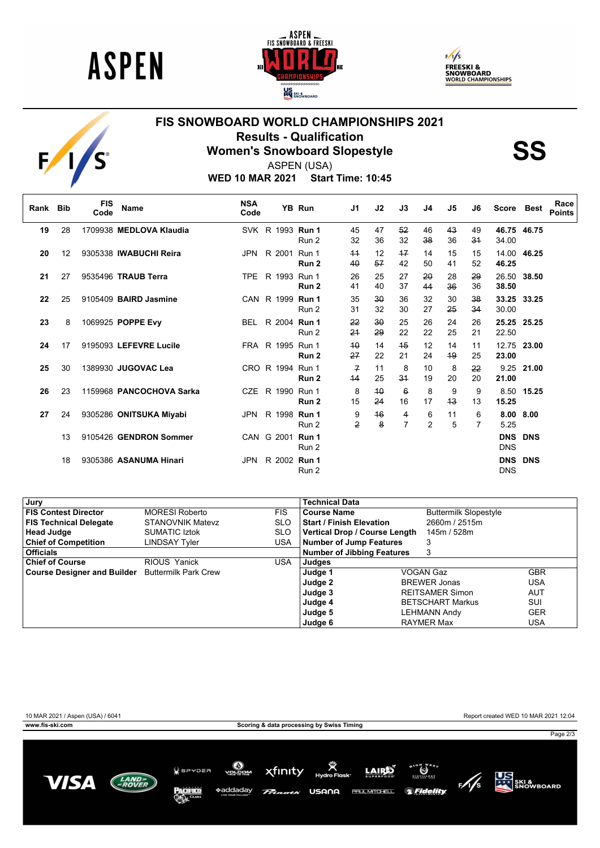

 $F/I/S$ 





## **FIS SNOWBOARD WORLD CHAMPIONSHIPS 2021 Results - Qualification<br>
Women's Snowboard Slopestyle<br>
ASPEN (USA)**

ASPEN (USA)

**WED 10 MAR 2021 Start Time: 10:45**

| Rank Bib |    | <b>FIS</b><br>Code | <b>Name</b>              | <b>NSA</b><br>Code |                  | YB Run | J1                  | J2                 | J3                    | J4                  | J5       | J6       | <b>Score</b>   | Best           | Race<br><b>Points</b> |
|----------|----|--------------------|--------------------------|--------------------|------------------|--------|---------------------|--------------------|-----------------------|---------------------|----------|----------|----------------|----------------|-----------------------|
| 19       | 28 |                    | 1709938 MEDLOVA Klaudia  |                    | SVK R 1993 Run 1 | Run 2  | 45<br>32            | 47<br>36           | 52<br>32              | 46<br>38            | 43<br>36 | 49<br>31 | 34.00          | 46.75 46.75    |                       |
| 20       | 12 |                    | 9305338 IWABUCHI Reira   | JPN                | R 2001 Run 1     | Run 2  | 44<br>40            | 12<br>57           | $+7$<br>42            | 14<br>50            | 15<br>41 | 15<br>52 | 46.25          | 14.00 46.25    |                       |
| 21       | 27 |                    | 9535496 TRAUB Terra      | TPE                | R 1993 Run 1     | Run 2  | 26<br>41            | 25<br>40           | 27<br>37              | 20<br>44            | 28<br>36 | 29<br>36 | 26.50<br>38.50 | 38.50          |                       |
| 22       | 25 |                    | 9105409 BAIRD Jasmine    |                    | CAN R 1999 Run 1 | Run 2  | 35<br>31            | $30^{\circ}$<br>32 | 36<br>30              | 32<br>27            | 30<br>25 | 38<br>34 | 30.00          | 33.25 33.25    |                       |
| 23       | 8  |                    | 1069925 POPPE Evy        | <b>BEL</b>         | R 2004 Run 1     | Run 2  | 22<br>24            | $30^{\circ}$<br>29 | 25<br>22              | 26<br>22            | 24<br>25 | 26<br>21 | 25.25<br>22.50 | 25.25          |                       |
| 24       | 17 |                    | 9195093 LEFEVRE Lucile   |                    | FRA R 1995 Run 1 | Run 2  | 40<br>27            | 14<br>22           | 45<br>21              | 12<br>24            | 14<br>49 | 11<br>25 | 12.75<br>23.00 | 23.00          |                       |
| 25       | 30 |                    | 1389930 JUGOVAC Lea      |                    | CRO R 1994 Run 1 | Run 2  | $\mathcal{F}$<br>44 | 11<br>25           | 8<br>34               | 10<br>19            | 8<br>20  | 22<br>20 | 21.00          | 9.25 21.00     |                       |
| 26       | 23 |                    | 1159968 PANCOCHOVA Sarka | CZE                | R 1990 Run 1     | Run 2  | 8<br>15             | 40<br>24           | $6\overline{6}$<br>16 | 8<br>17             | 9<br>43  | 9<br>13  | 15.25          | 8.50 15.25     |                       |
| 27       | 24 |                    | 9305286 ONITSUKA Miyabi  | <b>JPN</b>         | R 1998 Run 1     | Run 2  | 9<br>2              | 46<br>8            | 4<br>7                | 6<br>$\overline{2}$ | 11<br>5  | 6<br>7   | 5.25           | 8.00 8.00      |                       |
|          | 13 |                    | 9105426 GENDRON Sommer   |                    | CAN G 2001 Run 1 | Run 2  |                     |                    |                       |                     |          |          | <b>DNS</b>     | <b>DNS DNS</b> |                       |
|          | 18 |                    | 9305386 ASANUMA Hinari   | <b>JPN</b>         | R 2002 Run 1     | Run 2  |                     |                    |                       |                     |          |          | <b>DNS</b>     | <b>DNS DNS</b> |                       |

| Jury                                             |                         |            | <b>Technical Data</b>             |  |                              |            |
|--------------------------------------------------|-------------------------|------------|-----------------------------------|--|------------------------------|------------|
| <b>FIS Contest Director</b>                      | <b>MORESI Roberto</b>   | <b>FIS</b> | <b>Course Name</b>                |  | <b>Buttermilk Slopestyle</b> |            |
| <b>FIS Technical Delegate</b>                    | <b>STANOVNIK Matevz</b> | <b>SLO</b> | <b>Start / Finish Elevation</b>   |  | 2660m / 2515m                |            |
| <b>Head Judge</b>                                | <b>SUMATIC Iztok</b>    | <b>SLO</b> | Vertical Drop / Course Length     |  | 145m / 528m                  |            |
| <b>Chief of Competition</b>                      | LINDSAY Tyler           | <b>USA</b> | <b>Number of Jump Features</b>    |  | 3                            |            |
| <b>Officials</b>                                 |                         |            | <b>Number of Jibbing Features</b> |  | 3                            |            |
| <b>Chief of Course</b>                           | RIOUS Yanick            | <b>USA</b> | Judges                            |  |                              |            |
| Course Designer and Builder Buttermilk Park Crew |                         |            | Judge 1                           |  | VOGAN Gaz                    | <b>GBR</b> |
|                                                  |                         |            | Judge 2                           |  | <b>BREWER Jonas</b>          | USA        |
|                                                  |                         |            | Judge 3                           |  | <b>REITSAMER Simon</b>       | <b>AUT</b> |
|                                                  |                         |            | Judge 4                           |  | <b>BETSCHART Markus</b>      | SUI        |
|                                                  |                         |            | Judge 5                           |  | <b>LEHMANN Andy</b>          | <b>GER</b> |
|                                                  |                         |            | Judge 6                           |  | <b>RAYMER Max</b>            | USA        |